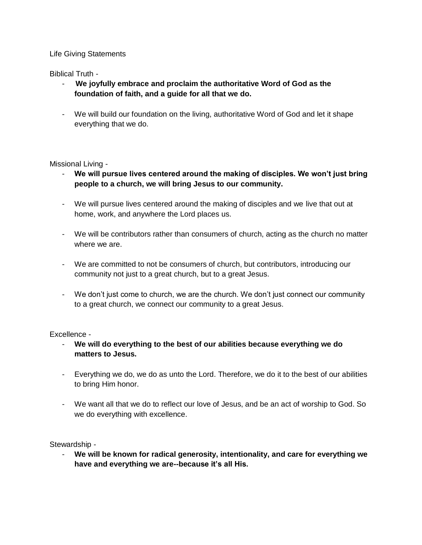## Life Giving Statements

Biblical Truth -

- **We joyfully embrace and proclaim the authoritative Word of God as the foundation of faith, and a guide for all that we do.**
- We will build our foundation on the living, authoritative Word of God and let it shape everything that we do.

Missional Living -

- We will pursue lives centered around the making of disciples. We won't just bring **people to a church, we will bring Jesus to our community.**
- We will pursue lives centered around the making of disciples and we live that out at home, work, and anywhere the Lord places us.
- We will be contributors rather than consumers of church, acting as the church no matter where we are
- We are committed to not be consumers of church, but contributors, introducing our community not just to a great church, but to a great Jesus.
- We don't just come to church, we are the church. We don't just connect our community to a great church, we connect our community to a great Jesus.

Excellence -

- **We will do everything to the best of our abilities because everything we do matters to Jesus.**
- Everything we do, we do as unto the Lord. Therefore, we do it to the best of our abilities to bring Him honor.
- We want all that we do to reflect our love of Jesus, and be an act of worship to God. So we do everything with excellence.

Stewardship -

- **We will be known for radical generosity, intentionality, and care for everything we have and everything we are--because it's all His.**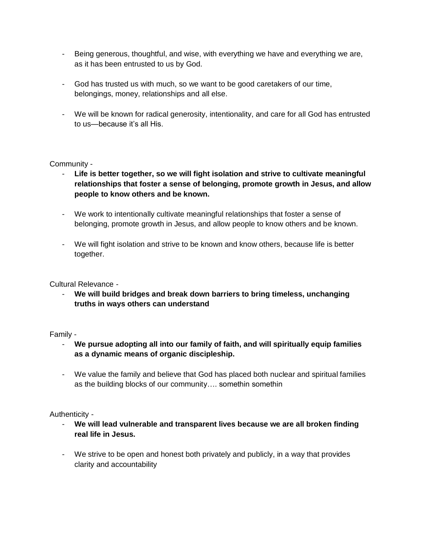- Being generous, thoughtful, and wise, with everything we have and everything we are, as it has been entrusted to us by God.
- God has trusted us with much, so we want to be good caretakers of our time, belongings, money, relationships and all else.
- We will be known for radical generosity, intentionality, and care for all God has entrusted to us—because it's all His.

### Community -

- Life is better together, so we will fight isolation and strive to cultivate meaningful **relationships that foster a sense of belonging, promote growth in Jesus, and allow people to know others and be known.**
- We work to intentionally cultivate meaningful relationships that foster a sense of belonging, promote growth in Jesus, and allow people to know others and be known.
- We will fight isolation and strive to be known and know others, because life is better together.

### Cultural Relevance -

- **We will build bridges and break down barriers to bring timeless, unchanging truths in ways others can understand**

### Family -

- **We pursue adopting all into our family of faith, and will spiritually equip families as a dynamic means of organic discipleship.**
- We value the family and believe that God has placed both nuclear and spiritual families as the building blocks of our community…. somethin somethin

# Authenticity -

- **We will lead vulnerable and transparent lives because we are all broken finding real life in Jesus.**
- We strive to be open and honest both privately and publicly, in a way that provides clarity and accountability